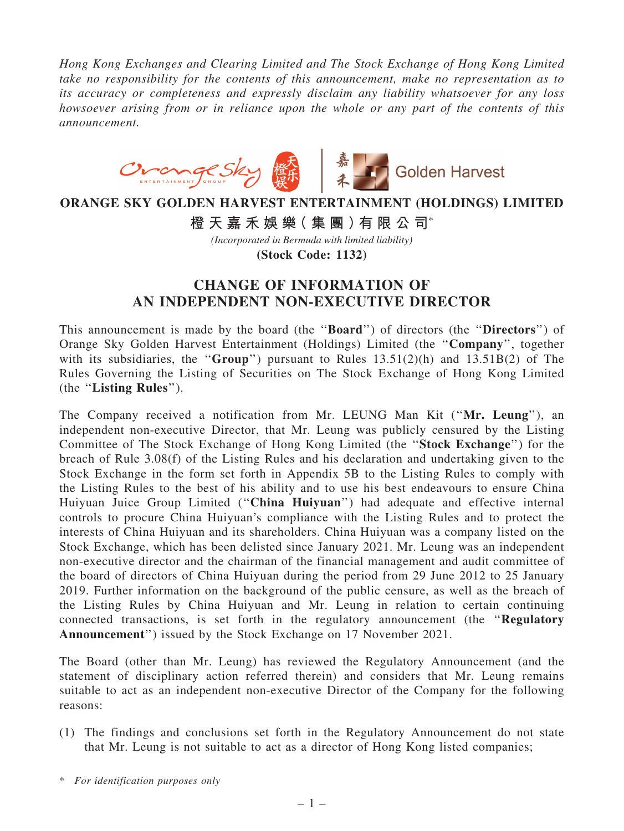*Hong Kong Exchanges and Clearing Limited and The Stock Exchange of Hong Kong Limited take no responsibility for the contents of this announcement, make no representation as to its accuracy or completeness and expressly disclaim any liability whatsoever for any loss howsoever arising from or in reliance upon the whole or any part of the contents of this announcement.*



## **ORANGE SKY GOLDEN HARVEST ENTERTAINMENT (HOLDINGS) LIMITED**

**橙 天 嘉 禾 娛 樂( 集 團 )有 限 公 司**\*

*(Incorporated in Bermuda with limited liability)*

**(Stock Code: 1132)**

## CHANGE OF INFORMATION OF AN INDEPENDENT NON-EXECUTIVE DIRECTOR

This announcement is made by the board (the "**Board**") of directors (the "**Directors**") of Orange Sky Golden Harvest Entertainment (Holdings) Limited (the ''Company'', together with its subsidiaries, the "Group") pursuant to Rules  $13.51(2)(h)$  and  $13.51B(2)$  of The Rules Governing the Listing of Securities on The Stock Exchange of Hong Kong Limited (the ''Listing Rules'').

The Company received a notification from Mr. LEUNG Man Kit (''Mr. Leung''), an independent non-executive Director, that Mr. Leung was publicly censured by the Listing Committee of The Stock Exchange of Hong Kong Limited (the ''Stock Exchange'') for the breach of Rule 3.08(f) of the Listing Rules and his declaration and undertaking given to the Stock Exchange in the form set forth in Appendix 5B to the Listing Rules to comply with the Listing Rules to the best of his ability and to use his best endeavours to ensure China Huiyuan Juice Group Limited ("China Huiyuan") had adequate and effective internal controls to procure China Huiyuan's compliance with the Listing Rules and to protect the interests of China Huiyuan and its shareholders. China Huiyuan was a company listed on the Stock Exchange, which has been delisted since January 2021. Mr. Leung was an independent non-executive director and the chairman of the financial management and audit committee of the board of directors of China Huiyuan during the period from 29 June 2012 to 25 January 2019. Further information on the background of the public censure, as well as the breach of the Listing Rules by China Huiyuan and Mr. Leung in relation to certain continuing connected transactions, is set forth in the regulatory announcement (the ''Regulatory Announcement'') issued by the Stock Exchange on 17 November 2021.

The Board (other than Mr. Leung) has reviewed the Regulatory Announcement (and the statement of disciplinary action referred therein) and considers that Mr. Leung remains suitable to act as an independent non-executive Director of the Company for the following reasons:

(1) The findings and conclusions set forth in the Regulatory Announcement do not state that Mr. Leung is not suitable to act as a director of Hong Kong listed companies;

<sup>\*</sup> *For identification purposes only*